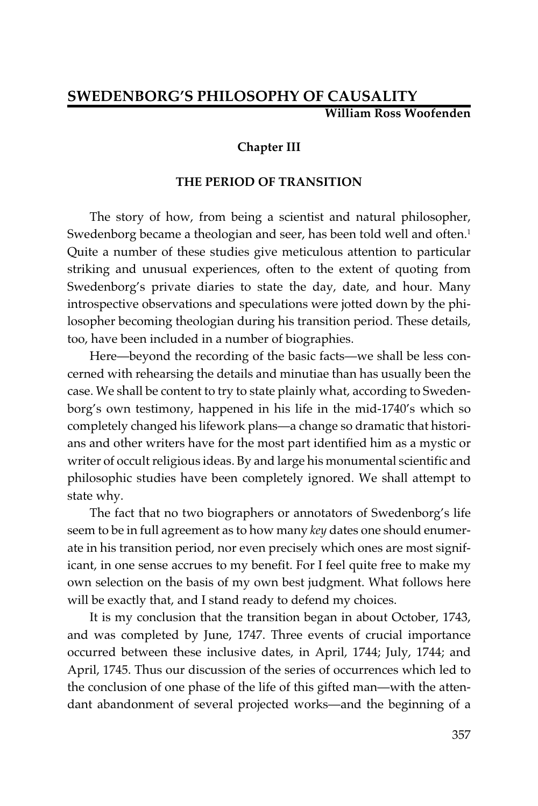# **SWEDENBORG'S PHILOSOPHY OF CAUSALITY William Ross Woofenden**

### **Chapter III**

### **THE PERIOD OF TRANSITION**

The story of how, from being a scientist and natural philosopher, Swedenborg became a theologian and seer, has been told well and often.<sup>1</sup> Quite a number of these studies give meticulous attention to particular striking and unusual experiences, often to the extent of quoting from Swedenborg's private diaries to state the day, date, and hour. Many introspective observations and speculations were jotted down by the philosopher becoming theologian during his transition period. These details, too, have been included in a number of biographies.

Here—beyond the recording of the basic facts—we shall be less concerned with rehearsing the details and minutiae than has usually been the case. We shall be content to try to state plainly what, according to Swedenborg's own testimony, happened in his life in the mid-1740's which so completely changed his lifework plans—a change so dramatic that historians and other writers have for the most part identified him as a mystic or writer of occult religious ideas. By and large his monumental scientific and philosophic studies have been completely ignored. We shall attempt to state why.

The fact that no two biographers or annotators of Swedenborg's life seem to be in full agreement as to how many *key* dates one should enumerate in his transition period, nor even precisely which ones are most significant, in one sense accrues to my benefit. For I feel quite free to make my own selection on the basis of my own best judgment. What follows here will be exactly that, and I stand ready to defend my choices.

It is my conclusion that the transition began in about October, 1743, and was completed by June, 1747. Three events of crucial importance occurred between these inclusive dates, in April, 1744; July, 1744; and April, 1745. Thus our discussion of the series of occurrences which led to the conclusion of one phase of the life of this gifted man—with the attendant abandonment of several projected works—and the beginning of a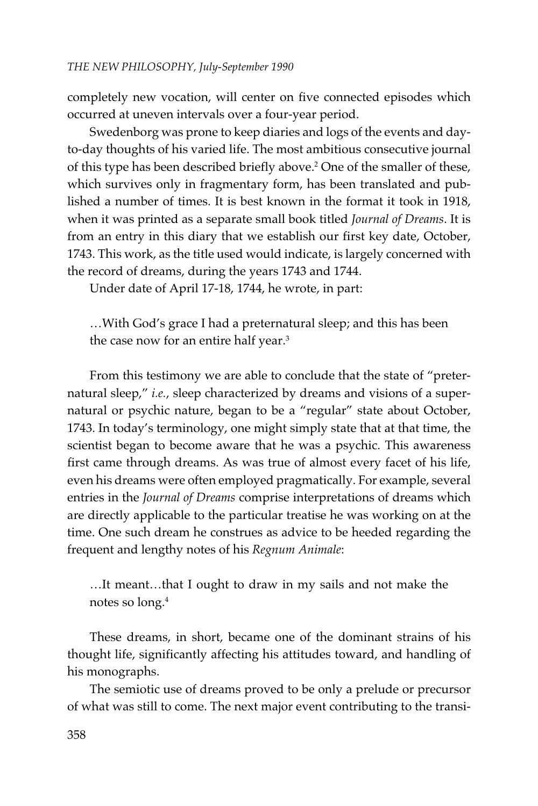completely new vocation, will center on five connected episodes which occurred at uneven intervals over a four-year period.

Swedenborg was prone to keep diaries and logs of the events and dayto-day thoughts of his varied life. The most ambitious consecutive journal of this type has been described briefly above.<sup>2</sup> One of the smaller of these, which survives only in fragmentary form, has been translated and published a number of times. It is best known in the format it took in 1918, when it was printed as a separate small book titled *Journal of Dreams*. It is from an entry in this diary that we establish our first key date, October, 1743. This work, as the title used would indicate, is largely concerned with the record of dreams, during the years 1743 and 1744.

Under date of April 17-18, 1744, he wrote, in part:

…With God's grace I had a preternatural sleep; and this has been the case now for an entire half year.<sup>3</sup>

From this testimony we are able to conclude that the state of "preternatural sleep," *i.e.*, sleep characterized by dreams and visions of a supernatural or psychic nature, began to be a "regular" state about October, 1743. In today's terminology, one might simply state that at that time, the scientist began to become aware that he was a psychic. This awareness first came through dreams. As was true of almost every facet of his life, even his dreams were often employed pragmatically. For example, several entries in the *Journal of Dreams* comprise interpretations of dreams which are directly applicable to the particular treatise he was working on at the time. One such dream he construes as advice to be heeded regarding the frequent and lengthy notes of his *Regnum Animale*:

…It meant…that I ought to draw in my sails and not make the notes so long.4

These dreams, in short, became one of the dominant strains of his thought life, significantly affecting his attitudes toward, and handling of his monographs.

The semiotic use of dreams proved to be only a prelude or precursor of what was still to come. The next major event contributing to the transi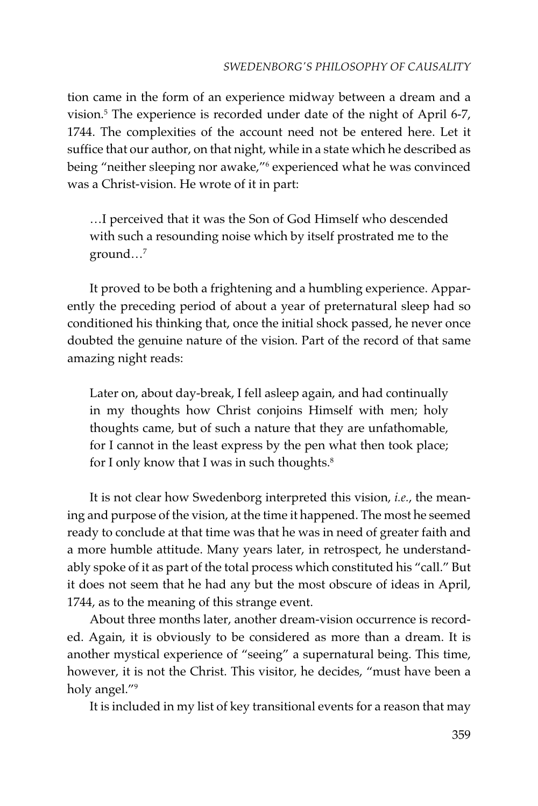tion came in the form of an experience midway between a dream and a vision.5 The experience is recorded under date of the night of April 6-7, 1744. The complexities of the account need not be entered here. Let it suffice that our author, on that night, while in a state which he described as being "neither sleeping nor awake,"<sup>6</sup> experienced what he was convinced was a Christ-vision. He wrote of it in part:

…I perceived that it was the Son of God Himself who descended with such a resounding noise which by itself prostrated me to the ground…7

It proved to be both a frightening and a humbling experience. Apparently the preceding period of about a year of preternatural sleep had so conditioned his thinking that, once the initial shock passed, he never once doubted the genuine nature of the vision. Part of the record of that same amazing night reads:

Later on, about day-break, I fell asleep again, and had continually in my thoughts how Christ conjoins Himself with men; holy thoughts came, but of such a nature that they are unfathomable, for I cannot in the least express by the pen what then took place; for I only know that I was in such thoughts.<sup>8</sup>

It is not clear how Swedenborg interpreted this vision, *i.e.*, the meaning and purpose of the vision, at the time it happened. The most he seemed ready to conclude at that time was that he was in need of greater faith and a more humble attitude. Many years later, in retrospect, he understandably spoke of it as part of the total process which constituted his "call." But it does not seem that he had any but the most obscure of ideas in April, 1744, as to the meaning of this strange event.

About three months later, another dream-vision occurrence is recorded. Again, it is obviously to be considered as more than a dream. It is another mystical experience of "seeing" a supernatural being. This time, however, it is not the Christ. This visitor, he decides, "must have been a holy angel."9

It is included in my list of key transitional events for a reason that may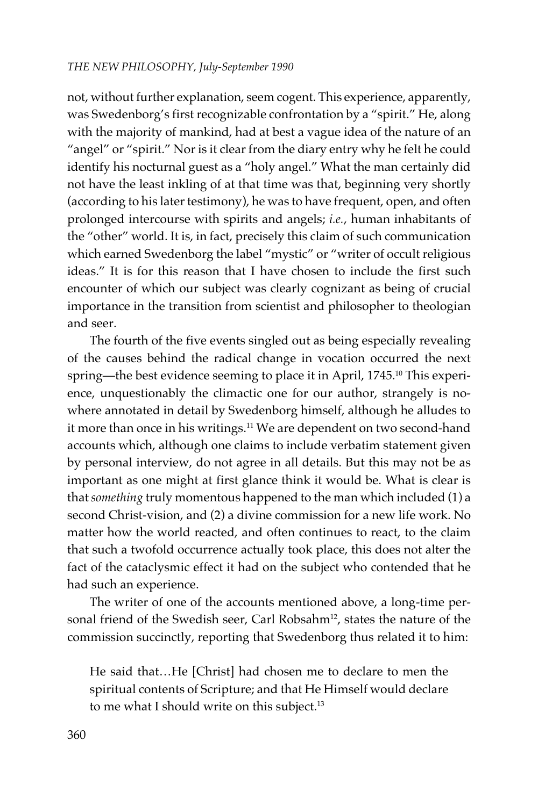not, without further explanation, seem cogent. This experience, apparently, was Swedenborg's first recognizable confrontation by a "spirit." He, along with the majority of mankind, had at best a vague idea of the nature of an "angel" or "spirit." Nor is it clear from the diary entry why he felt he could identify his nocturnal guest as a "holy angel." What the man certainly did not have the least inkling of at that time was that, beginning very shortly (according to his later testimony), he was to have frequent, open, and often prolonged intercourse with spirits and angels; *i.e.*, human inhabitants of the "other" world. It is, in fact, precisely this claim of such communication which earned Swedenborg the label "mystic" or "writer of occult religious ideas." It is for this reason that I have chosen to include the first such encounter of which our subject was clearly cognizant as being of crucial importance in the transition from scientist and philosopher to theologian and seer.

The fourth of the five events singled out as being especially revealing of the causes behind the radical change in vocation occurred the next spring—the best evidence seeming to place it in April, 1745.<sup>10</sup> This experience, unquestionably the climactic one for our author, strangely is nowhere annotated in detail by Swedenborg himself, although he alludes to it more than once in his writings.<sup>11</sup> We are dependent on two second-hand accounts which, although one claims to include verbatim statement given by personal interview, do not agree in all details. But this may not be as important as one might at first glance think it would be. What is clear is that *something* truly momentous happened to the man which included (1) a second Christ-vision, and (2) a divine commission for a new life work. No matter how the world reacted, and often continues to react, to the claim that such a twofold occurrence actually took place, this does not alter the fact of the cataclysmic effect it had on the subject who contended that he had such an experience.

The writer of one of the accounts mentioned above, a long-time personal friend of the Swedish seer, Carl Robsahm<sup>12</sup>, states the nature of the commission succinctly, reporting that Swedenborg thus related it to him:

He said that…He [Christ] had chosen me to declare to men the spiritual contents of Scripture; and that He Himself would declare to me what I should write on this subject.<sup>13</sup>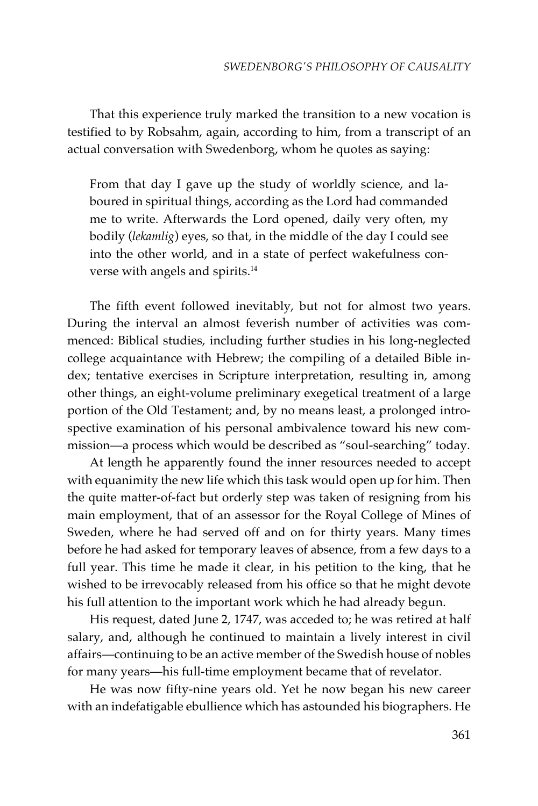That this experience truly marked the transition to a new vocation is testified to by Robsahm, again, according to him, from a transcript of an actual conversation with Swedenborg, whom he quotes as saying:

From that day I gave up the study of worldly science, and laboured in spiritual things, according as the Lord had commanded me to write. Afterwards the Lord opened, daily very often, my bodily (*lekamlig*) eyes, so that, in the middle of the day I could see into the other world, and in a state of perfect wakefulness converse with angels and spirits.14

The fifth event followed inevitably, but not for almost two years. During the interval an almost feverish number of activities was commenced: Biblical studies, including further studies in his long-neglected college acquaintance with Hebrew; the compiling of a detailed Bible index; tentative exercises in Scripture interpretation, resulting in, among other things, an eight-volume preliminary exegetical treatment of a large portion of the Old Testament; and, by no means least, a prolonged introspective examination of his personal ambivalence toward his new commission—a process which would be described as "soul-searching" today.

At length he apparently found the inner resources needed to accept with equanimity the new life which this task would open up for him. Then the quite matter-of-fact but orderly step was taken of resigning from his main employment, that of an assessor for the Royal College of Mines of Sweden, where he had served off and on for thirty years. Many times before he had asked for temporary leaves of absence, from a few days to a full year. This time he made it clear, in his petition to the king, that he wished to be irrevocably released from his office so that he might devote his full attention to the important work which he had already begun.

His request, dated June 2, 1747, was acceded to; he was retired at half salary, and, although he continued to maintain a lively interest in civil affairs—continuing to be an active member of the Swedish house of nobles for many years—his full-time employment became that of revelator.

He was now fifty-nine years old. Yet he now began his new career with an indefatigable ebullience which has astounded his biographers. He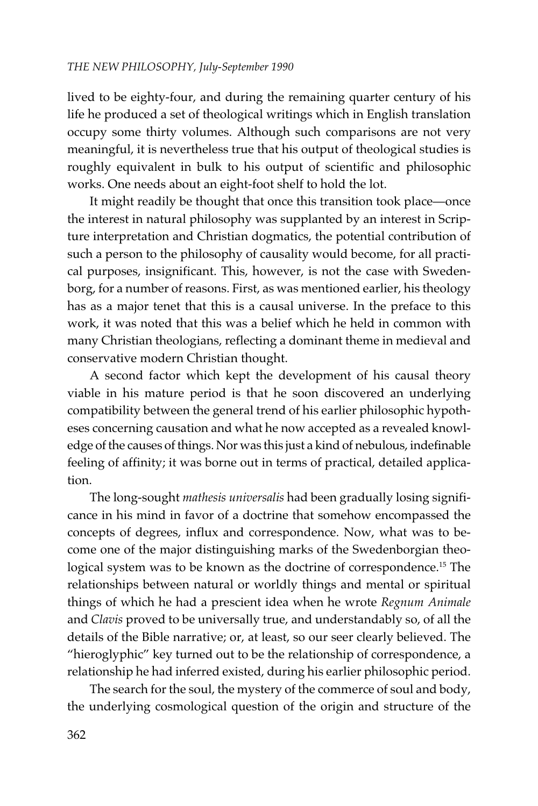lived to be eighty-four, and during the remaining quarter century of his life he produced a set of theological writings which in English translation occupy some thirty volumes. Although such comparisons are not very meaningful, it is nevertheless true that his output of theological studies is roughly equivalent in bulk to his output of scientific and philosophic works. One needs about an eight-foot shelf to hold the lot.

It might readily be thought that once this transition took place—once the interest in natural philosophy was supplanted by an interest in Scripture interpretation and Christian dogmatics, the potential contribution of such a person to the philosophy of causality would become, for all practical purposes, insignificant. This, however, is not the case with Swedenborg, for a number of reasons. First, as was mentioned earlier, his theology has as a major tenet that this is a causal universe. In the preface to this work, it was noted that this was a belief which he held in common with many Christian theologians, reflecting a dominant theme in medieval and conservative modern Christian thought.

A second factor which kept the development of his causal theory viable in his mature period is that he soon discovered an underlying compatibility between the general trend of his earlier philosophic hypotheses concerning causation and what he now accepted as a revealed knowledge of the causes of things. Nor was this just a kind of nebulous, indefinable feeling of affinity; it was borne out in terms of practical, detailed application.

The long-sought *mathesis universalis* had been gradually losing significance in his mind in favor of a doctrine that somehow encompassed the concepts of degrees, influx and correspondence. Now, what was to become one of the major distinguishing marks of the Swedenborgian theological system was to be known as the doctrine of correspondence.<sup>15</sup> The relationships between natural or worldly things and mental or spiritual things of which he had a prescient idea when he wrote *Regnum Animale* and *Clavis* proved to be universally true, and understandably so, of all the details of the Bible narrative; or, at least, so our seer clearly believed. The "hieroglyphic" key turned out to be the relationship of correspondence, a relationship he had inferred existed, during his earlier philosophic period.

The search for the soul, the mystery of the commerce of soul and body, the underlying cosmological question of the origin and structure of the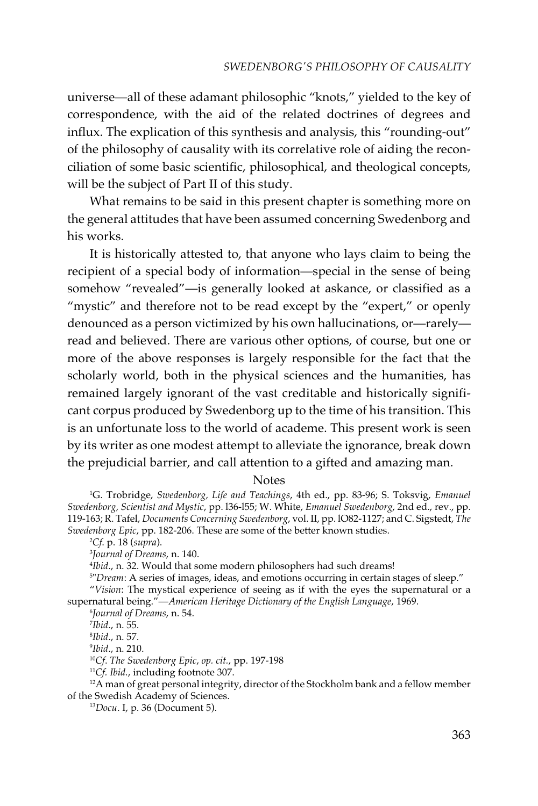universe—all of these adamant philosophic "knots," yielded to the key of correspondence, with the aid of the related doctrines of degrees and influx. The explication of this synthesis and analysis, this "rounding-out" of the philosophy of causality with its correlative role of aiding the reconciliation of some basic scientific, philosophical, and theological concepts, will be the subject of Part II of this study.

What remains to be said in this present chapter is something more on the general attitudes that have been assumed concerning Swedenborg and his works.

It is historically attested to, that anyone who lays claim to being the recipient of a special body of information—special in the sense of being somehow "revealed"—is generally looked at askance, or classified as a "mystic" and therefore not to be read except by the "expert," or openly denounced as a person victimized by his own hallucinations, or—rarely read and believed. There are various other options, of course, but one or more of the above responses is largely responsible for the fact that the scholarly world, both in the physical sciences and the humanities, has remained largely ignorant of the vast creditable and historically significant corpus produced by Swedenborg up to the time of his transition. This is an unfortunate loss to the world of academe. This present work is seen by its writer as one modest attempt to alleviate the ignorance, break down the prejudicial barrier, and call attention to a gifted and amazing man.

#### Notes

1 G. Trobridge, *Swedenborg, Life and Teachings*, 4th ed., pp. 83-96; S. Toksvig, *Emanuel Swedenborg, Scientist and Mystic*, pp. l36-l55; W. White, *Emanuel Swedenborg*, 2nd ed., rev., pp. 119-163; R. Tafel, *Documents Concerning Swedenborg*, vol. II, pp. lO82-1127; and C. Sigstedt, *The Swedenborg Epic*, pp. 182-206. These are some of the better known studies.

2 *Cf*. p. 18 (*supra*).

3 *Journal of Dreams*, n. 140.

4 *Ibid*., n. 32. Would that some modern philosophers had such dreams!

5 "*Dream*: A series of images, ideas, and emotions occurring in certain stages of sleep." "*Vision*: The mystical experience of seeing as if with the eyes the supernatural or a

supernatural being."—*American Heritage Dictionary of the English Language*, 1969. 6 *Journal of Dreams*, n. 54.

7 *Ibid*., n. 55.

8 *Ibid*., n. 57.

9 *Ibid*., n. 210.

<sup>10</sup>*Cf*. *The Swedenborg Epic*, *op. cit.*, pp. 197-198

<sup>11</sup>*Cf. Ibid.*, including footnote 307.

 $12A$  man of great personal integrity, director of the Stockholm bank and a fellow member of the Swedish Academy of Sciences.

13*Docu*. I, p. 36 (Document 5).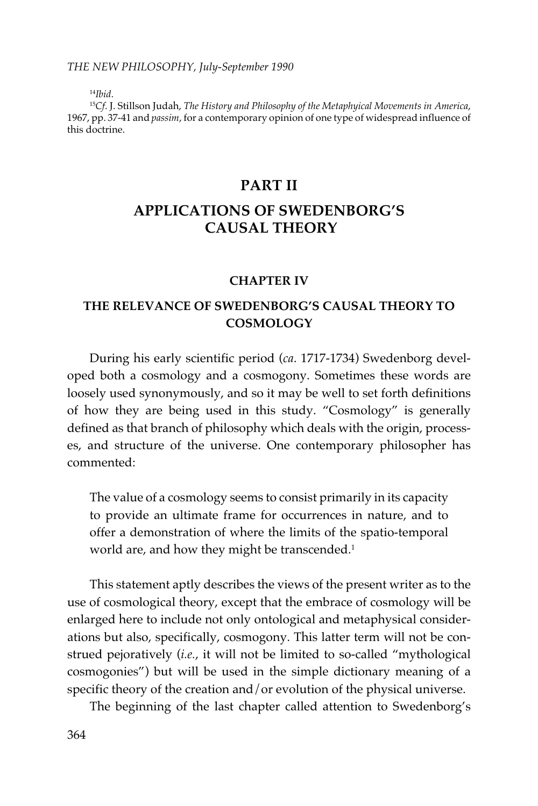<sup>14</sup>*Ibid*.

<sup>15</sup>*Cf*. J. Stillson Judah, *The History and Philosophy of the Metaphyical Movements in America*, 1967, pp. 37-41 and *passim*, for a contemporary opinion of one type of widespread influence of this doctrine.

## **PART II**

# **APPLICATIONS OF SWEDENBORG'S CAUSAL THEORY**

### **CHAPTER IV**

## **THE RELEVANCE OF SWEDENBORG'S CAUSAL THEORY TO COSMOLOGY**

During his early scientific period (*ca*. 1717-1734) Swedenborg developed both a cosmology and a cosmogony. Sometimes these words are loosely used synonymously, and so it may be well to set forth definitions of how they are being used in this study. "Cosmology" is generally defined as that branch of philosophy which deals with the origin, processes, and structure of the universe. One contemporary philosopher has commented:

The value of a cosmology seems to consist primarily in its capacity to provide an ultimate frame for occurrences in nature, and to offer a demonstration of where the limits of the spatio-temporal world are, and how they might be transcended.<sup>1</sup>

This statement aptly describes the views of the present writer as to the use of cosmological theory, except that the embrace of cosmology will be enlarged here to include not only ontological and metaphysical considerations but also, specifically, cosmogony. This latter term will not be construed pejoratively (*i.e.*, it will not be limited to so-called "mythological cosmogonies") but will be used in the simple dictionary meaning of a specific theory of the creation and/or evolution of the physical universe.

The beginning of the last chapter called attention to Swedenborg's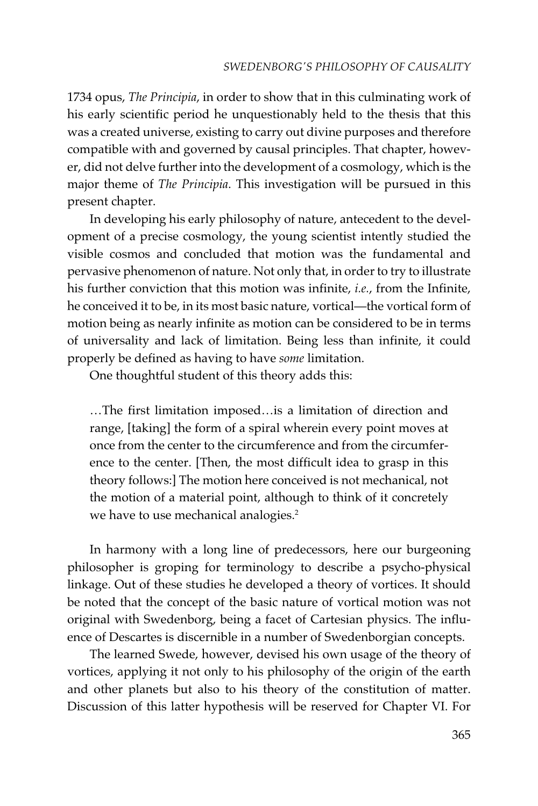1734 opus, *The Principia*, in order to show that in this culminating work of his early scientific period he unquestionably held to the thesis that this was a created universe, existing to carry out divine purposes and therefore compatible with and governed by causal principles. That chapter, however, did not delve further into the development of a cosmology, which is the major theme of *The Principia*. This investigation will be pursued in this present chapter.

In developing his early philosophy of nature, antecedent to the development of a precise cosmology, the young scientist intently studied the visible cosmos and concluded that motion was the fundamental and pervasive phenomenon of nature. Not only that, in order to try to illustrate his further conviction that this motion was infinite, *i.e.*, from the Infinite, he conceived it to be, in its most basic nature, vortical—the vortical form of motion being as nearly infinite as motion can be considered to be in terms of universality and lack of limitation. Being less than infinite, it could properly be defined as having to have *some* limitation.

One thoughtful student of this theory adds this:

…The first limitation imposed…is a limitation of direction and range, [taking] the form of a spiral wherein every point moves at once from the center to the circumference and from the circumference to the center. [Then, the most difficult idea to grasp in this theory follows:] The motion here conceived is not mechanical, not the motion of a material point, although to think of it concretely we have to use mechanical analogies.<sup>2</sup>

In harmony with a long line of predecessors, here our burgeoning philosopher is groping for terminology to describe a psycho-physical linkage. Out of these studies he developed a theory of vortices. It should be noted that the concept of the basic nature of vortical motion was not original with Swedenborg, being a facet of Cartesian physics. The influence of Descartes is discernible in a number of Swedenborgian concepts.

The learned Swede, however, devised his own usage of the theory of vortices, applying it not only to his philosophy of the origin of the earth and other planets but also to his theory of the constitution of matter. Discussion of this latter hypothesis will be reserved for Chapter VI. For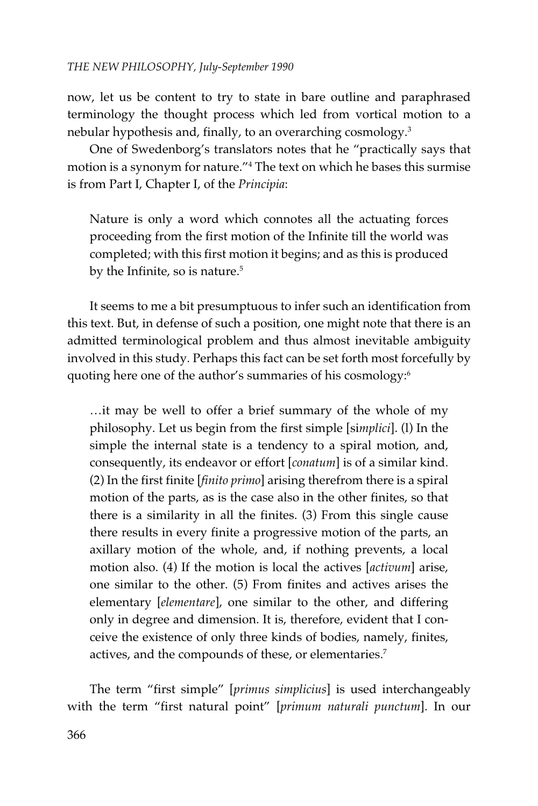now, let us be content to try to state in bare outline and paraphrased terminology the thought process which led from vortical motion to a nebular hypothesis and, finally, to an overarching cosmology.<sup>3</sup>

One of Swedenborg's translators notes that he "practically says that motion is a synonym for nature."4 The text on which he bases this surmise is from Part I, Chapter I, of the *Principia*:

Nature is only a word which connotes all the actuating forces proceeding from the first motion of the Infinite till the world was completed; with this first motion it begins; and as this is produced by the Infinite, so is nature.<sup>5</sup>

It seems to me a bit presumptuous to infer such an identification from this text. But, in defense of such a position, one might note that there is an admitted terminological problem and thus almost inevitable ambiguity involved in this study. Perhaps this fact can be set forth most forcefully by quoting here one of the author's summaries of his cosmology:6

…it may be well to offer a brief summary of the whole of my philosophy. Let us begin from the first simple [si*mplici*]. (l) In the simple the internal state is a tendency to a spiral motion, and, consequently, its endeavor or effort [*conatum*] is of a similar kind. (2) In the first finite [*finito primo*] arising therefrom there is a spiral motion of the parts, as is the case also in the other finites, so that there is a similarity in all the finites. (3) From this single cause there results in every finite a progressive motion of the parts, an axillary motion of the whole, and, if nothing prevents, a local motion also. (4) If the motion is local the actives [*activum*] arise, one similar to the other. (5) From finites and actives arises the elementary [*elementare*], one similar to the other, and differing only in degree and dimension. It is, therefore, evident that I conceive the existence of only three kinds of bodies, namely, finites, actives, and the compounds of these, or elementaries.7

The term "first simple" [*primus simplicius*] is used interchangeably with the term "first natural point" [*primum naturali punctum*]. In our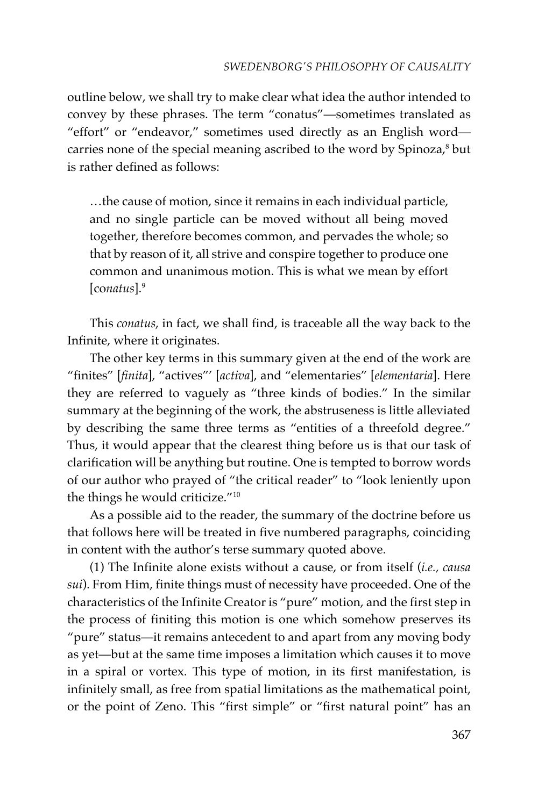outline below, we shall try to make clear what idea the author intended to convey by these phrases. The term "conatus"—sometimes translated as "effort" or "endeavor," sometimes used directly as an English word carries none of the special meaning ascribed to the word by Spinoza, $^8$  but is rather defined as follows:

…the cause of motion, since it remains in each individual particle, and no single particle can be moved without all being moved together, therefore becomes common, and pervades the whole; so that by reason of it, all strive and conspire together to produce one common and unanimous motion. This is what we mean by effort [co*natus*].9

This *conatus*, in fact, we shall find, is traceable all the way back to the Infinite, where it originates.

The other key terms in this summary given at the end of the work are "finites" [*finita*], "actives"' [*activa*], and "elementaries" [*elementaria*]. Here they are referred to vaguely as "three kinds of bodies." In the similar summary at the beginning of the work, the abstruseness is little alleviated by describing the same three terms as "entities of a threefold degree." Thus, it would appear that the clearest thing before us is that our task of clarification will be anything but routine. One is tempted to borrow words of our author who prayed of "the critical reader" to "look leniently upon the things he would criticize."10

As a possible aid to the reader, the summary of the doctrine before us that follows here will be treated in five numbered paragraphs, coinciding in content with the author's terse summary quoted above.

(1) The Infinite alone exists without a cause, or from itself (*i.e., causa sui*). From Him, finite things must of necessity have proceeded. One of the characteristics of the Infinite Creator is "pure" motion, and the first step in the process of finiting this motion is one which somehow preserves its "pure" status—it remains antecedent to and apart from any moving body as yet—but at the same time imposes a limitation which causes it to move in a spiral or vortex. This type of motion, in its first manifestation, is infinitely small, as free from spatial limitations as the mathematical point, or the point of Zeno. This "first simple" or "first natural point" has an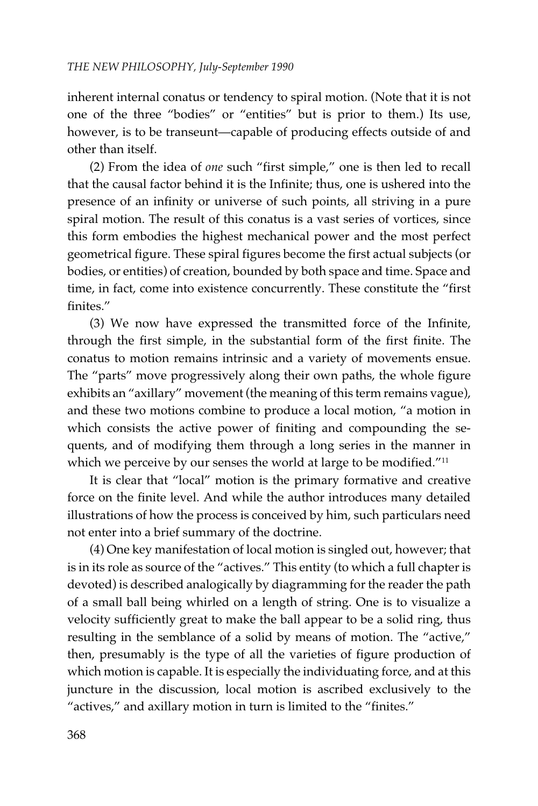inherent internal conatus or tendency to spiral motion. (Note that it is not one of the three "bodies" or "entities" but is prior to them.) Its use, however, is to be transeunt—capable of producing effects outside of and other than itself.

(2) From the idea of *one* such "first simple," one is then led to recall that the causal factor behind it is the Infinite; thus, one is ushered into the presence of an infinity or universe of such points, all striving in a pure spiral motion. The result of this conatus is a vast series of vortices, since this form embodies the highest mechanical power and the most perfect geometrical figure. These spiral figures become the first actual subjects (or bodies, or entities) of creation, bounded by both space and time. Space and time, in fact, come into existence concurrently. These constitute the "first finites."

(3) We now have expressed the transmitted force of the Infinite, through the first simple, in the substantial form of the first finite. The conatus to motion remains intrinsic and a variety of movements ensue. The "parts" move progressively along their own paths, the whole figure exhibits an "axillary" movement (the meaning of this term remains vague), and these two motions combine to produce a local motion, "a motion in which consists the active power of finiting and compounding the sequents, and of modifying them through a long series in the manner in which we perceive by our senses the world at large to be modified."<sup>11</sup>

It is clear that "local" motion is the primary formative and creative force on the finite level. And while the author introduces many detailed illustrations of how the process is conceived by him, such particulars need not enter into a brief summary of the doctrine.

(4) One key manifestation of local motion is singled out, however; that is in its role as source of the "actives." This entity (to which a full chapter is devoted) is described analogically by diagramming for the reader the path of a small ball being whirled on a length of string. One is to visualize a velocity sufficiently great to make the ball appear to be a solid ring, thus resulting in the semblance of a solid by means of motion. The "active," then, presumably is the type of all the varieties of figure production of which motion is capable. It is especially the individuating force, and at this juncture in the discussion, local motion is ascribed exclusively to the "actives," and axillary motion in turn is limited to the "finites."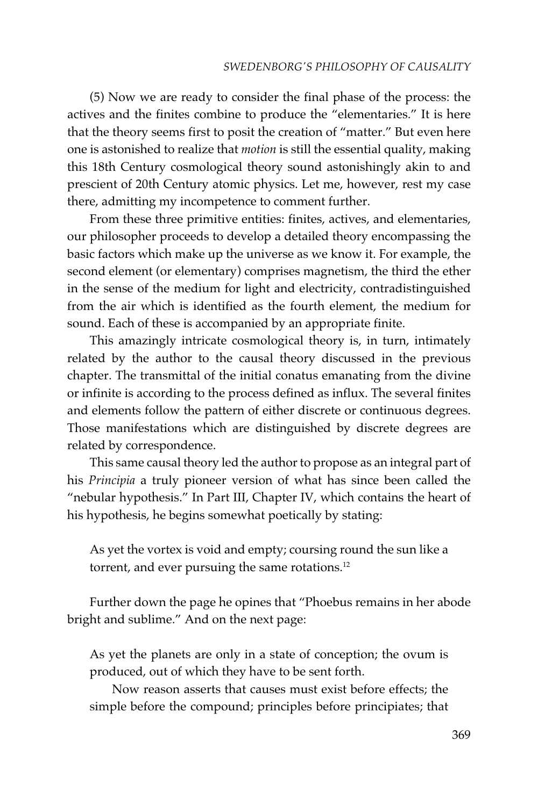(5) Now we are ready to consider the final phase of the process: the actives and the finites combine to produce the "elementaries." It is here that the theory seems first to posit the creation of "matter." But even here one is astonished to realize that *motion* is still the essential quality, making this 18th Century cosmological theory sound astonishingly akin to and prescient of 20th Century atomic physics. Let me, however, rest my case there, admitting my incompetence to comment further.

From these three primitive entities: finites, actives, and elementaries, our philosopher proceeds to develop a detailed theory encompassing the basic factors which make up the universe as we know it. For example, the second element (or elementary) comprises magnetism, the third the ether in the sense of the medium for light and electricity, contradistinguished from the air which is identified as the fourth element, the medium for sound. Each of these is accompanied by an appropriate finite.

This amazingly intricate cosmological theory is, in turn, intimately related by the author to the causal theory discussed in the previous chapter. The transmittal of the initial conatus emanating from the divine or infinite is according to the process defined as influx. The several finites and elements follow the pattern of either discrete or continuous degrees. Those manifestations which are distinguished by discrete degrees are related by correspondence.

This same causal theory led the author to propose as an integral part of his *Principia* a truly pioneer version of what has since been called the "nebular hypothesis." In Part III, Chapter IV, which contains the heart of his hypothesis, he begins somewhat poetically by stating:

As yet the vortex is void and empty; coursing round the sun like a torrent, and ever pursuing the same rotations.<sup>12</sup>

Further down the page he opines that "Phoebus remains in her abode bright and sublime." And on the next page:

As yet the planets are only in a state of conception; the ovum is produced, out of which they have to be sent forth.

Now reason asserts that causes must exist before effects; the simple before the compound; principles before principiates; that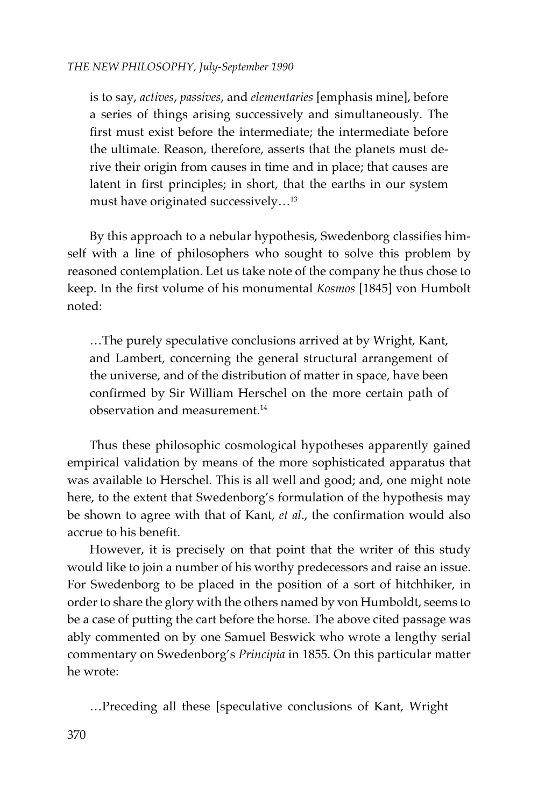is to say, *actives*, *passives*, and *elementaries* [emphasis mine], before a series of things arising successively and simultaneously. The first must exist before the intermediate; the intermediate before the ultimate. Reason, therefore, asserts that the planets must derive their origin from causes in time and in place; that causes are latent in first principles; in short, that the earths in our system must have originated successively...<sup>13</sup>

By this approach to a nebular hypothesis, Swedenborg classifies himself with a line of philosophers who sought to solve this problem by reasoned contemplation. Let us take note of the company he thus chose to keep. In the first volume of his monumental *Kosmos* [1845] von Humbolt noted:

…The purely speculative conclusions arrived at by Wright, Kant, and Lambert, concerning the general structural arrangement of the universe, and of the distribution of matter in space, have been confirmed by Sir William Herschel on the more certain path of observation and measurement.14

Thus these philosophic cosmological hypotheses apparently gained empirical validation by means of the more sophisticated apparatus that was available to Herschel. This is all well and good; and, one might note here, to the extent that Swedenborg's formulation of the hypothesis may be shown to agree with that of Kant, *et al*., the confirmation would also accrue to his benefit.

However, it is precisely on that point that the writer of this study would like to join a number of his worthy predecessors and raise an issue. For Swedenborg to be placed in the position of a sort of hitchhiker, in order to share the glory with the others named by von Humboldt, seems to be a case of putting the cart before the horse. The above cited passage was ably commented on by one Samuel Beswick who wrote a lengthy serial commentary on Swedenborg's *Principia* in 1855. On this particular matter he wrote:

…Preceding all these [speculative conclusions of Kant, Wright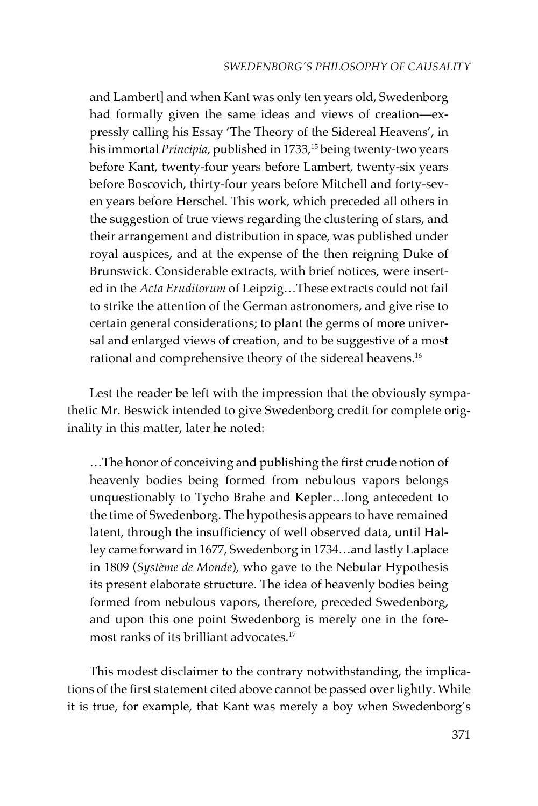### *SWEDENBORG'S PHILOSOPHY OF CAUSALITY*

and Lambert] and when Kant was only ten years old, Swedenborg had formally given the same ideas and views of creation—expressly calling his Essay 'The Theory of the Sidereal Heavens', in his immortal *Principia*, published in 1733,<sup>15</sup> being twenty-two years before Kant, twenty-four years before Lambert, twenty-six years before Boscovich, thirty-four years before Mitchell and forty-seven years before Herschel. This work, which preceded all others in the suggestion of true views regarding the clustering of stars, and their arrangement and distribution in space, was published under royal auspices, and at the expense of the then reigning Duke of Brunswick. Considerable extracts, with brief notices, were inserted in the *Acta Eruditorum* of Leipzig…These extracts could not fail to strike the attention of the German astronomers, and give rise to certain general considerations; to plant the germs of more universal and enlarged views of creation, and to be suggestive of a most rational and comprehensive theory of the sidereal heavens.<sup>16</sup>

Lest the reader be left with the impression that the obviously sympathetic Mr. Beswick intended to give Swedenborg credit for complete originality in this matter, later he noted:

…The honor of conceiving and publishing the first crude notion of heavenly bodies being formed from nebulous vapors belongs unquestionably to Tycho Brahe and Kepler…long antecedent to the time of Swedenborg. The hypothesis appears to have remained latent, through the insufficiency of well observed data, until Halley came forward in 1677, Swedenborg in 1734…and lastly Laplace in 1809 (*Système de Monde*), who gave to the Nebular Hypothesis its present elaborate structure. The idea of heavenly bodies being formed from nebulous vapors, therefore, preceded Swedenborg, and upon this one point Swedenborg is merely one in the foremost ranks of its brilliant advocates.<sup>17</sup>

This modest disclaimer to the contrary notwithstanding, the implications of the first statement cited above cannot be passed over lightly. While it is true, for example, that Kant was merely a boy when Swedenborg's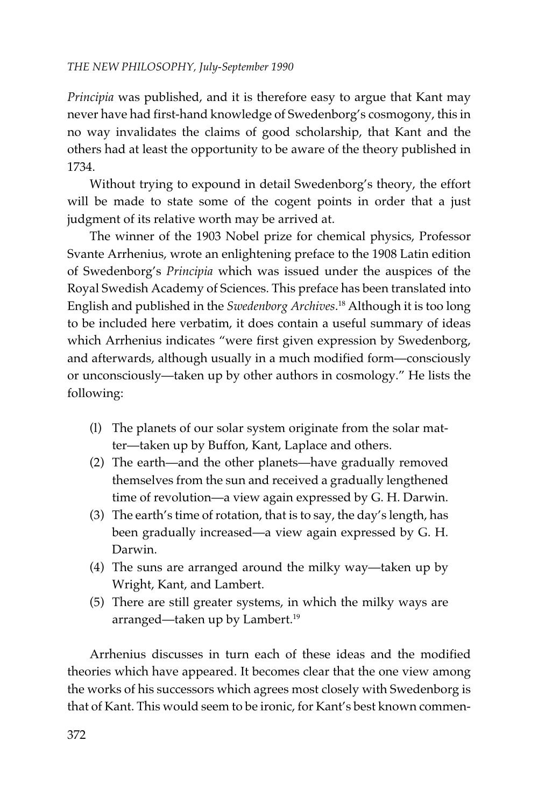*Principia* was published, and it is therefore easy to argue that Kant may never have had first-hand knowledge of Swedenborg's cosmogony, this in no way invalidates the claims of good scholarship, that Kant and the others had at least the opportunity to be aware of the theory published in 1734.

Without trying to expound in detail Swedenborg's theory, the effort will be made to state some of the cogent points in order that a just judgment of its relative worth may be arrived at.

The winner of the 1903 Nobel prize for chemical physics, Professor Svante Arrhenius, wrote an enlightening preface to the 1908 Latin edition of Swedenborg's *Principia* which was issued under the auspices of the Royal Swedish Academy of Sciences. This preface has been translated into English and published in the *Swedenborg Archives*. 18 Although it is too long to be included here verbatim, it does contain a useful summary of ideas which Arrhenius indicates "were first given expression by Swedenborg, and afterwards, although usually in a much modified form—consciously or unconsciously—taken up by other authors in cosmology." He lists the following:

- (l) The planets of our solar system originate from the solar matter—taken up by Buffon, Kant, Laplace and others.
- (2) The earth—and the other planets—have gradually removed themselves from the sun and received a gradually lengthened time of revolution—a view again expressed by G. H. Darwin.
- (3) The earth's time of rotation, that is to say, the day's length, has been gradually increased—a view again expressed by G. H. Darwin.
- (4) The suns are arranged around the milky way—taken up by Wright, Kant, and Lambert.
- (5) There are still greater systems, in which the milky ways are arranged—taken up by Lambert.<sup>19</sup>

Arrhenius discusses in turn each of these ideas and the modified theories which have appeared. It becomes clear that the one view among the works of his successors which agrees most closely with Swedenborg is that of Kant. This would seem to be ironic, for Kant's best known commen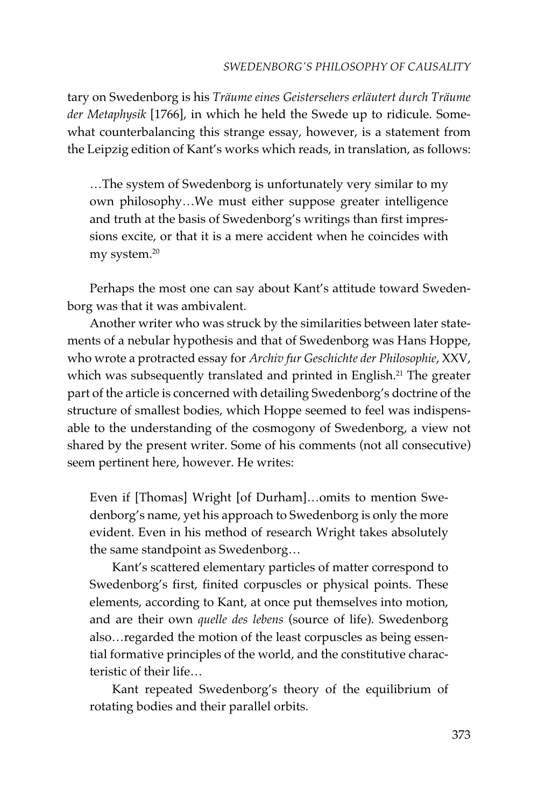tary on Swedenborg is his *Träume eines Geistersehers erläutert durch Träume der Metaphysik* [1766], in which he held the Swede up to ridicule. Somewhat counterbalancing this strange essay, however, is a statement from the Leipzig edition of Kant's works which reads, in translation, as follows:

…The system of Swedenborg is unfortunately very similar to my own philosophy…We must either suppose greater intelligence and truth at the basis of Swedenborg's writings than first impressions excite, or that it is a mere accident when he coincides with my system.<sup>20</sup>

Perhaps the most one can say about Kant's attitude toward Swedenborg was that it was ambivalent.

Another writer who was struck by the similarities between later statements of a nebular hypothesis and that of Swedenborg was Hans Hoppe, who wrote a protracted essay for *Archiv fur Geschichte der Philosophie*, XXV, which was subsequently translated and printed in English.<sup>21</sup> The greater part of the article is concerned with detailing Swedenborg's doctrine of the structure of smallest bodies, which Hoppe seemed to feel was indispensable to the understanding of the cosmogony of Swedenborg, a view not shared by the present writer. Some of his comments (not all consecutive) seem pertinent here, however. He writes:

Even if [Thomas] Wright [of Durham]…omits to mention Swedenborg's name, yet his approach to Swedenborg is only the more evident. Even in his method of research Wright takes absolutely the same standpoint as Swedenborg…

Kant's scattered elementary particles of matter correspond to Swedenborg's first, finited corpuscles or physical points. These elements, according to Kant, at once put themselves into motion, and are their own *quelle des lebens* (source of life). Swedenborg also…regarded the motion of the least corpuscles as being essential formative principles of the world, and the constitutive characteristic of their life…

Kant repeated Swedenborg's theory of the equilibrium of rotating bodies and their parallel orbits.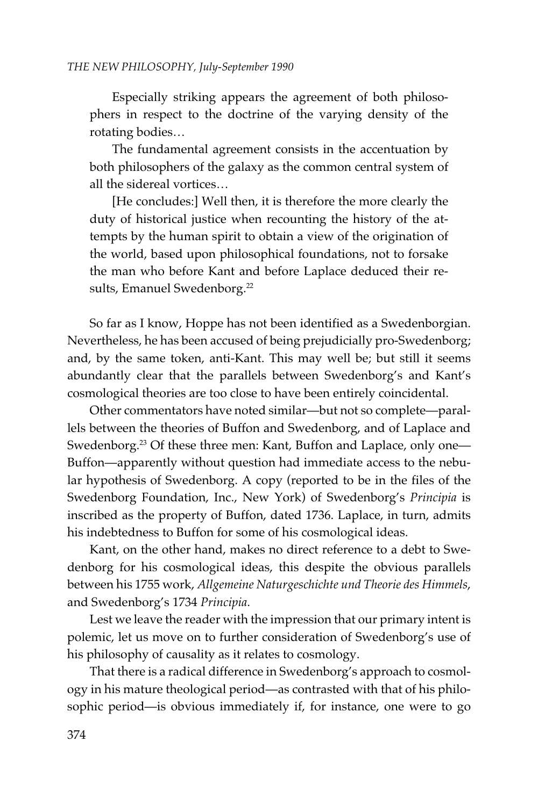Especially striking appears the agreement of both philosophers in respect to the doctrine of the varying density of the rotating bodies…

The fundamental agreement consists in the accentuation by both philosophers of the galaxy as the common central system of all the sidereal vortices…

[He concludes:] Well then, it is therefore the more clearly the duty of historical justice when recounting the history of the attempts by the human spirit to obtain a view of the origination of the world, based upon philosophical foundations, not to forsake the man who before Kant and before Laplace deduced their results, Emanuel Swedenborg.<sup>22</sup>

So far as I know, Hoppe has not been identified as a Swedenborgian. Nevertheless, he has been accused of being prejudicially pro-Swedenborg; and, by the same token, anti-Kant. This may well be; but still it seems abundantly clear that the parallels between Swedenborg's and Kant's cosmological theories are too close to have been entirely coincidental.

Other commentators have noted similar—but not so complete—parallels between the theories of Buffon and Swedenborg, and of Laplace and Swedenborg.<sup>23</sup> Of these three men: Kant, Buffon and Laplace, only one-Buffon—apparently without question had immediate access to the nebular hypothesis of Swedenborg. A copy (reported to be in the files of the Swedenborg Foundation, Inc., New York) of Swedenborg's *Principia* is inscribed as the property of Buffon, dated 1736. Laplace, in turn, admits his indebtedness to Buffon for some of his cosmological ideas.

Kant, on the other hand, makes no direct reference to a debt to Swedenborg for his cosmological ideas, this despite the obvious parallels between his 1755 work, *Allgemeine Naturgeschichte und Theorie des Himmels*, and Swedenborg's 1734 *Principia*.

Lest we leave the reader with the impression that our primary intent is polemic, let us move on to further consideration of Swedenborg's use of his philosophy of causality as it relates to cosmology.

That there is a radical difference in Swedenborg's approach to cosmology in his mature theological period—as contrasted with that of his philosophic period—is obvious immediately if, for instance, one were to go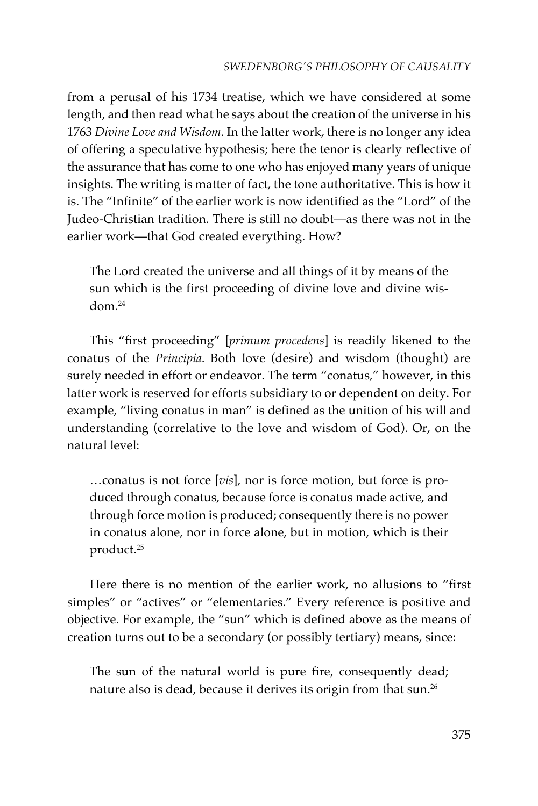from a perusal of his 1734 treatise, which we have considered at some length, and then read what he says about the creation of the universe in his 1763 *Divine Love and Wisdom*. In the latter work, there is no longer any idea of offering a speculative hypothesis; here the tenor is clearly reflective of the assurance that has come to one who has enjoyed many years of unique insights. The writing is matter of fact, the tone authoritative. This is how it is. The "Infinite" of the earlier work is now identified as the "Lord" of the Judeo-Christian tradition. There is still no doubt—as there was not in the earlier work—that God created everything. How?

The Lord created the universe and all things of it by means of the sun which is the first proceeding of divine love and divine wis $dom<sup>24</sup>$ 

This "first proceeding" [*primum procedens*] is readily likened to the conatus of the *Principia*. Both love (desire) and wisdom (thought) are surely needed in effort or endeavor. The term "conatus," however, in this latter work is reserved for efforts subsidiary to or dependent on deity. For example, "living conatus in man" is defined as the unition of his will and understanding (correlative to the love and wisdom of God). Or, on the natural level:

…conatus is not force [*vis*], nor is force motion, but force is produced through conatus, because force is conatus made active, and through force motion is produced; consequently there is no power in conatus alone, nor in force alone, but in motion, which is their product.25

Here there is no mention of the earlier work, no allusions to "first simples" or "actives" or "elementaries." Every reference is positive and objective. For example, the "sun" which is defined above as the means of creation turns out to be a secondary (or possibly tertiary) means, since:

The sun of the natural world is pure fire, consequently dead; nature also is dead, because it derives its origin from that sun.<sup>26</sup>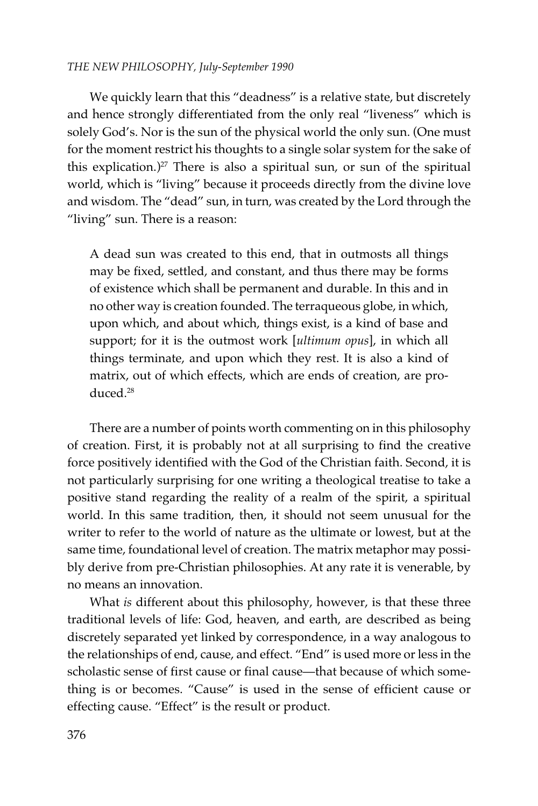We quickly learn that this "deadness" is a relative state, but discretely and hence strongly differentiated from the only real "liveness" which is solely God's. Nor is the sun of the physical world the only sun. (One must for the moment restrict his thoughts to a single solar system for the sake of this explication.)<sup>27</sup> There is also a spiritual sun, or sun of the spiritual world, which is "living" because it proceeds directly from the divine love and wisdom. The "dead" sun, in turn, was created by the Lord through the "living" sun. There is a reason:

A dead sun was created to this end, that in outmosts all things may be fixed, settled, and constant, and thus there may be forms of existence which shall be permanent and durable. In this and in no other way is creation founded. The terraqueous globe, in which, upon which, and about which, things exist, is a kind of base and support; for it is the outmost work [*ultimum opus*], in which all things terminate, and upon which they rest. It is also a kind of matrix, out of which effects, which are ends of creation, are produced.28

There are a number of points worth commenting on in this philosophy of creation. First, it is probably not at all surprising to find the creative force positively identified with the God of the Christian faith. Second, it is not particularly surprising for one writing a theological treatise to take a positive stand regarding the reality of a realm of the spirit, a spiritual world. In this same tradition, then, it should not seem unusual for the writer to refer to the world of nature as the ultimate or lowest, but at the same time, foundational level of creation. The matrix metaphor may possibly derive from pre-Christian philosophies. At any rate it is venerable, by no means an innovation.

What *is* different about this philosophy, however, is that these three traditional levels of life: God, heaven, and earth, are described as being discretely separated yet linked by correspondence, in a way analogous to the relationships of end, cause, and effect. "End" is used more or less in the scholastic sense of first cause or final cause—that because of which something is or becomes. "Cause" is used in the sense of efficient cause or effecting cause. "Effect" is the result or product.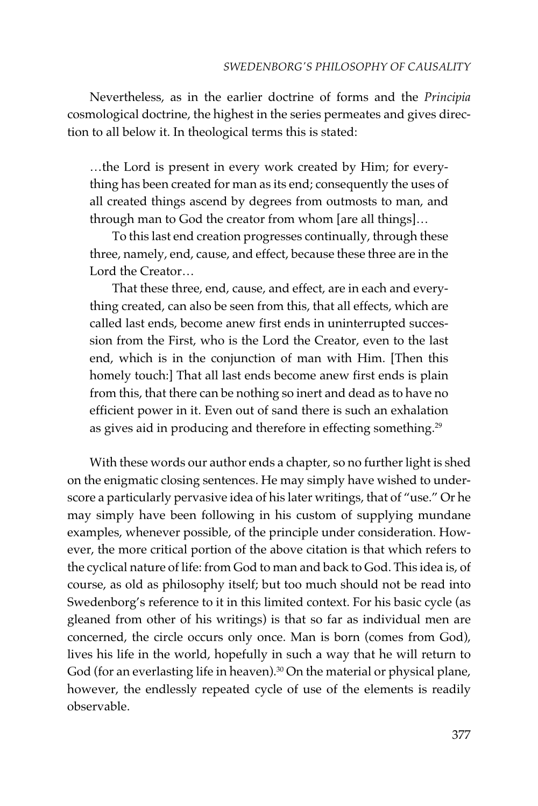Nevertheless, as in the earlier doctrine of forms and the *Principia* cosmological doctrine, the highest in the series permeates and gives direction to all below it. In theological terms this is stated:

…the Lord is present in every work created by Him; for everything has been created for man as its end; consequently the uses of all created things ascend by degrees from outmosts to man, and through man to God the creator from whom [are all things]…

To this last end creation progresses continually, through these three, namely, end, cause, and effect, because these three are in the Lord the Creator…

That these three, end, cause, and effect, are in each and everything created, can also be seen from this, that all effects, which are called last ends, become anew first ends in uninterrupted succession from the First, who is the Lord the Creator, even to the last end, which is in the conjunction of man with Him. [Then this homely touch:] That all last ends become anew first ends is plain from this, that there can be nothing so inert and dead as to have no efficient power in it. Even out of sand there is such an exhalation as gives aid in producing and therefore in effecting something.<sup>29</sup>

With these words our author ends a chapter, so no further light is shed on the enigmatic closing sentences. He may simply have wished to underscore a particularly pervasive idea of his later writings, that of "use." Or he may simply have been following in his custom of supplying mundane examples, whenever possible, of the principle under consideration. However, the more critical portion of the above citation is that which refers to the cyclical nature of life: from God to man and back to God. This idea is, of course, as old as philosophy itself; but too much should not be read into Swedenborg's reference to it in this limited context. For his basic cycle (as gleaned from other of his writings) is that so far as individual men are concerned, the circle occurs only once. Man is born (comes from God), lives his life in the world, hopefully in such a way that he will return to God (for an everlasting life in heaven).<sup>30</sup> On the material or physical plane, however, the endlessly repeated cycle of use of the elements is readily observable.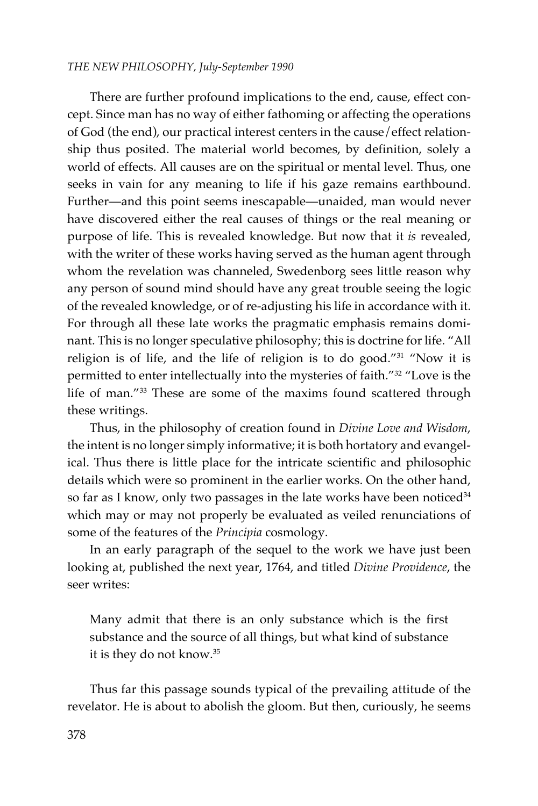There are further profound implications to the end, cause, effect concept. Since man has no way of either fathoming or affecting the operations of God (the end), our practical interest centers in the cause/effect relationship thus posited. The material world becomes, by definition, solely a world of effects. All causes are on the spiritual or mental level. Thus, one seeks in vain for any meaning to life if his gaze remains earthbound. Further—and this point seems inescapable—unaided, man would never have discovered either the real causes of things or the real meaning or purpose of life. This is revealed knowledge. But now that it *is* revealed, with the writer of these works having served as the human agent through whom the revelation was channeled, Swedenborg sees little reason why any person of sound mind should have any great trouble seeing the logic of the revealed knowledge, or of re-adjusting his life in accordance with it. For through all these late works the pragmatic emphasis remains dominant. This is no longer speculative philosophy; this is doctrine for life. "All religion is of life, and the life of religion is to do good."31 "Now it is permitted to enter intellectually into the mysteries of faith."32 "Love is the life of man."33 These are some of the maxims found scattered through these writings.

Thus, in the philosophy of creation found in *Divine Love and Wisdom*, the intent is no longer simply informative; it is both hortatory and evangelical. Thus there is little place for the intricate scientific and philosophic details which were so prominent in the earlier works. On the other hand, so far as I know, only two passages in the late works have been noticed<sup>34</sup> which may or may not properly be evaluated as veiled renunciations of some of the features of the *Principia* cosmology.

In an early paragraph of the sequel to the work we have just been looking at, published the next year, 1764, and titled *Divine Providence*, the seer writes:

Many admit that there is an only substance which is the first substance and the source of all things, but what kind of substance it is they do not know.35

Thus far this passage sounds typical of the prevailing attitude of the revelator. He is about to abolish the gloom. But then, curiously, he seems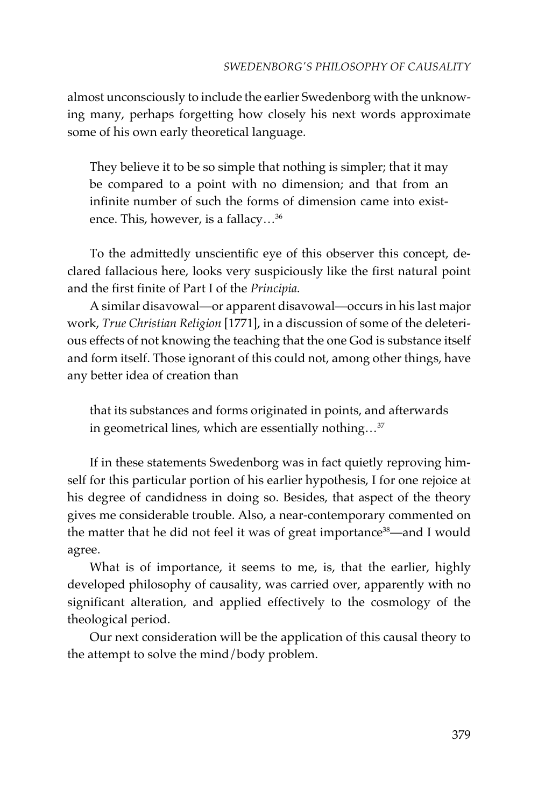almost unconsciously to include the earlier Swedenborg with the unknowing many, perhaps forgetting how closely his next words approximate some of his own early theoretical language.

They believe it to be so simple that nothing is simpler; that it may be compared to a point with no dimension; and that from an infinite number of such the forms of dimension came into existence. This, however, is a fallacy…36

To the admittedly unscientific eye of this observer this concept, declared fallacious here, looks very suspiciously like the first natural point and the first finite of Part I of the *Principia*.

A similar disavowal—or apparent disavowal—occurs in his last major work, *True Christian Religion* [1771], in a discussion of some of the deleterious effects of not knowing the teaching that the one God is substance itself and form itself. Those ignorant of this could not, among other things, have any better idea of creation than

that its substances and forms originated in points, and afterwards in geometrical lines, which are essentially nothing…37

If in these statements Swedenborg was in fact quietly reproving himself for this particular portion of his earlier hypothesis, I for one rejoice at his degree of candidness in doing so. Besides, that aspect of the theory gives me considerable trouble. Also, a near-contemporary commented on the matter that he did not feel it was of great importance<sup>38</sup>—and I would agree.

What is of importance, it seems to me, is, that the earlier, highly developed philosophy of causality, was carried over, apparently with no significant alteration, and applied effectively to the cosmology of the theological period.

Our next consideration will be the application of this causal theory to the attempt to solve the mind/body problem.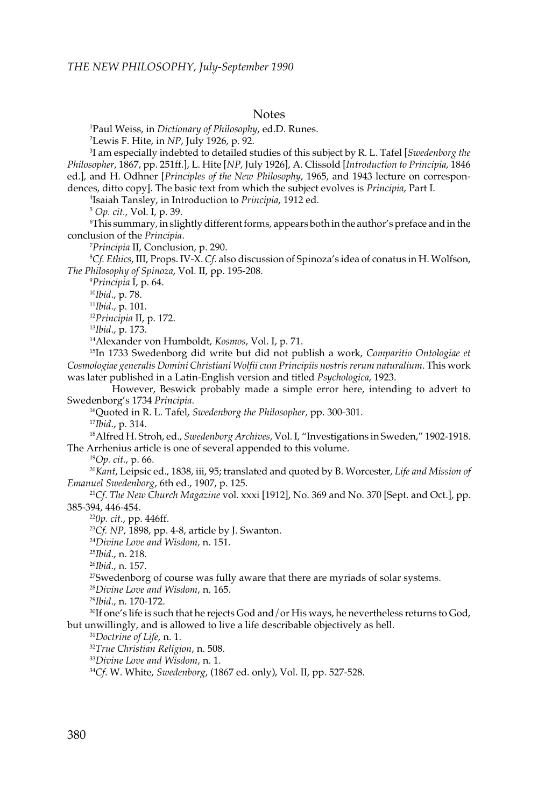#### Notes

1 Paul Weiss, in *Dictionary of Philosophy*, ed.D. Runes.

2 Lewis F. Hite, in *NP*, July 1926, p. 92.

3 I am especially indebted to detailed studies of this subject by R. L. Tafel [*Swedenborg the Philosopher*, 1867, pp. 251ff.], L. Hite [*NP*, July 1926], A. Clissold [*Introduction to Principia*, 1846 ed.], and H. Odhner [*Principles of the New Philosophy*, 1965, and 1943 lecture on correspondences, ditto copy]. The basic text from which the subject evolves is *Principia*, Part I.

4 Isaiah Tansley, in Introduction to *Principia*, 1912 ed.

<sup>5</sup> *Op. cit.*, Vol. I, p. 39.

6 This summary, in slightly different forms, appears both in the author's preface and in the conclusion of the *Principia*.

7 *Principia* II, Conclusion, p. 290.

8 *Cf. Ethics*, III, Props. IV-X. *Cf.* also discussion of Spinoza's idea of conatus in H. Wolfson, *The Philosophy of Spinoza*, Vol. II, pp. 195-208.

9 *Principia* I, p. 64.

<sup>10</sup>*Ibid*., p. 78.

<sup>11</sup>*Ibid*., p. 101.

<sup>12</sup>*Principia* II, p. 172.

<sup>13</sup>*Ibid*., p. 173.

14Alexander von Humboldt, *Kosmos*, Vol. I, p. 71.

15In 1733 Swedenborg did write but did not publish a work, *Comparitio Ontologiae et Cosmologiae generalis Domini Christiani Wolfii cum Principiis nostris rerum naturalium*. This work was later published in a Latin-English version and titled *Psychologica*, 1923.

However, Beswick probably made a simple error here, intending to advert to Swedenborg's 1734 *Principia*.

16Quoted in R. L. Tafel, *Swedenborg the Philosopher,* pp. 300-301. <sup>17</sup>*Ibid*., p. 314.

18Alfred H. Stroh, ed., *Swedenborg Archives*, Vol. I, "Investigations in Sweden," 1902-1918. The Arrhenius article is one of several appended to this volume.

<sup>19</sup>*Op. cit.*, p. 66.

<sup>20</sup>*Kant*, Leipsic ed., 1838, iii, 95; translated and quoted by B. Worcester, *Life and Mission of Emanuel Swedenborg*, 6th ed., 1907, p. 125.

<sup>21</sup>*Cf*. *The New Church Magazine* vol. xxxi [1912], No. 369 and No. 370 [Sept. and Oct.], pp. 385-394, 446-454.

<sup>22</sup>*0p. cit.*, pp. 446ff.

<sup>23</sup>*Cf. NP*, 1898, pp. 4-8, article by J. Swanton.

<sup>24</sup>*Divine Love and Wisdom,* n. 151.

<sup>25</sup>*Ibid*., n. 218.

<sup>26</sup>*Ibid*., n. 157.

<sup>27</sup>Swedenborg of course was fully aware that there are myriads of solar systems.

<sup>28</sup>*Divine Love and Wisdom*, n. 165.

<sup>29</sup>*Ibid*., n. 170-172.

<sup>30</sup>If one's life is such that he rejects God and / or His ways, he nevertheless returns to God, but unwillingly, and is allowed to live a life describable objectively as hell.

<sup>31</sup>*Doctrine of Life*, n. 1.

<sup>32</sup>*True Christian Religion*, n. 508.

<sup>33</sup>*Divine Love and Wisdom*, n. 1.

34*Cf*. W. White, *Swedenborg*, (1867 ed. only), Vol. II, pp. 527-528.